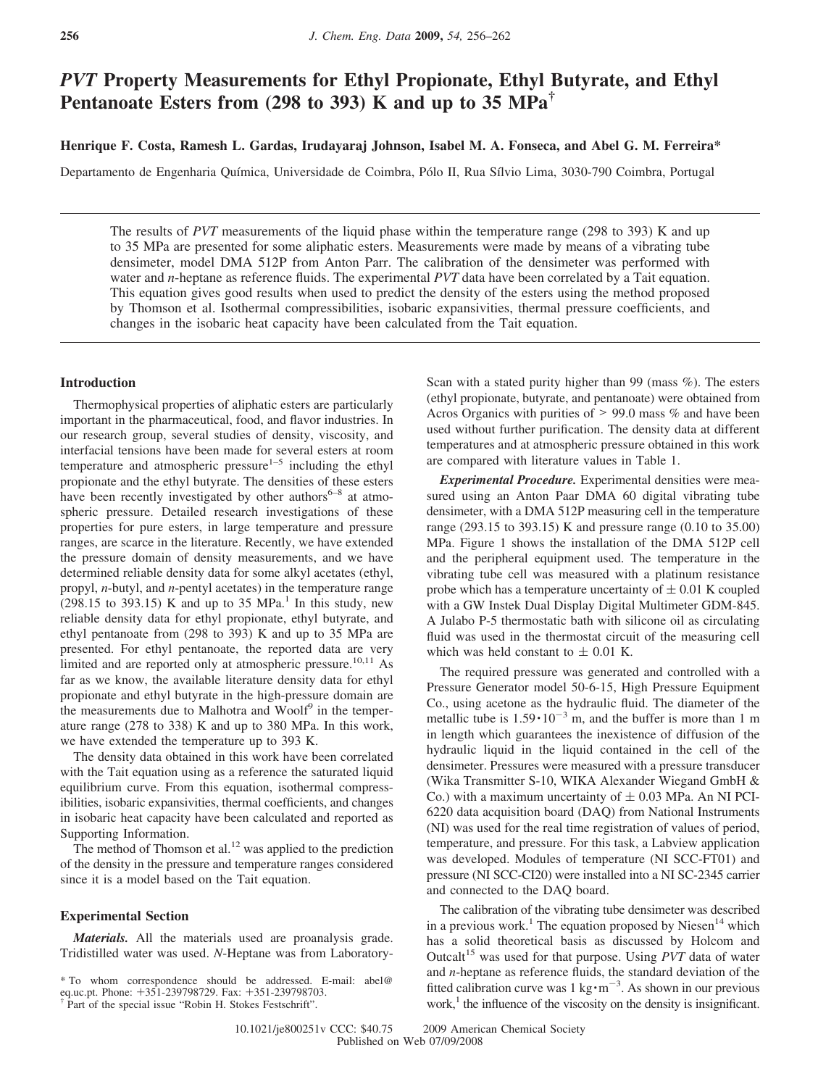# *PVT* **Property Measurements for Ethyl Propionate, Ethyl Butyrate, and Ethyl Pentanoate Esters from (298 to 393) K and up to 35 MPa†**

**Henrique F. Costa, Ramesh L. Gardas, Irudayaraj Johnson, Isabel M. A. Fonseca, and Abel G. M. Ferreira\***

Departamento de Engenharia Química, Universidade de Coimbra, Pólo II, Rua Sílvio Lima, 3030-790 Coimbra, Portugal

The results of *PVT* measurements of the liquid phase within the temperature range (298 to 393) K and up to 35 MPa are presented for some aliphatic esters. Measurements were made by means of a vibrating tube densimeter, model DMA 512P from Anton Parr. The calibration of the densimeter was performed with water and *n*-heptane as reference fluids. The experimental *PVT* data have been correlated by a Tait equation. This equation gives good results when used to predict the density of the esters using the method proposed by Thomson et al. Isothermal compressibilities, isobaric expansivities, thermal pressure coefficients, and changes in the isobaric heat capacity have been calculated from the Tait equation.

# **Introduction**

Thermophysical properties of aliphatic esters are particularly important in the pharmaceutical, food, and flavor industries. In our research group, several studies of density, viscosity, and interfacial tensions have been made for several esters at room temperature and atmospheric pressure $1-5$  including the ethyl propionate and the ethyl butyrate. The densities of these esters have been recently investigated by other authors $6-8$  at atmospheric pressure. Detailed research investigations of these properties for pure esters, in large temperature and pressure ranges, are scarce in the literature. Recently, we have extended the pressure domain of density measurements, and we have determined reliable density data for some alkyl acetates (ethyl, propyl, *n*-butyl, and *n*-pentyl acetates) in the temperature range  $(298.15$  to 393.15) K and up to 35 MPa.<sup>1</sup> In this study, new reliable density data for ethyl propionate, ethyl butyrate, and ethyl pentanoate from (298 to 393) K and up to 35 MPa are presented. For ethyl pentanoate, the reported data are very limited and are reported only at atmospheric pressure.<sup>10,11</sup> As far as we know, the available literature density data for ethyl propionate and ethyl butyrate in the high-pressure domain are the measurements due to Malhotra and Woolf<sup>9</sup> in the temperature range (278 to 338) K and up to 380 MPa. In this work, we have extended the temperature up to 393 K.

The density data obtained in this work have been correlated with the Tait equation using as a reference the saturated liquid equilibrium curve. From this equation, isothermal compressibilities, isobaric expansivities, thermal coefficients, and changes in isobaric heat capacity have been calculated and reported as Supporting Information.

The method of Thomson et al.<sup>12</sup> was applied to the prediction of the density in the pressure and temperature ranges considered since it is a model based on the Tait equation.

#### **Experimental Section**

*Materials.* All the materials used are proanalysis grade. Tridistilled water was used. *N*-Heptane was from LaboratoryScan with a stated purity higher than 99 (mass %). The esters (ethyl propionate, butyrate, and pentanoate) were obtained from Acros Organics with purities of  $> 99.0$  mass % and have been used without further purification. The density data at different temperatures and at atmospheric pressure obtained in this work are compared with literature values in Table 1.

*Experimental Procedure.* Experimental densities were measured using an Anton Paar DMA 60 digital vibrating tube densimeter, with a DMA 512P measuring cell in the temperature range (293.15 to 393.15) K and pressure range (0.10 to 35.00) MPa. Figure 1 shows the installation of the DMA 512P cell and the peripheral equipment used. The temperature in the vibrating tube cell was measured with a platinum resistance probe which has a temperature uncertainty of  $\pm$  0.01 K coupled with a GW Instek Dual Display Digital Multimeter GDM-845. A Julabo P-5 thermostatic bath with silicone oil as circulating fluid was used in the thermostat circuit of the measuring cell which was held constant to  $\pm$  0.01 K.

The required pressure was generated and controlled with a Pressure Generator model 50-6-15, High Pressure Equipment Co., using acetone as the hydraulic fluid. The diameter of the metallic tube is  $1.59 \cdot 10^{-3}$  m, and the buffer is more than 1 m in length which guarantees the inexistence of diffusion of the hydraulic liquid in the liquid contained in the cell of the densimeter. Pressures were measured with a pressure transducer (Wika Transmitter S-10, WIKA Alexander Wiegand GmbH & Co.) with a maximum uncertainty of  $\pm$  0.03 MPa. An NI PCI-6220 data acquisition board (DAQ) from National Instruments (NI) was used for the real time registration of values of period, temperature, and pressure. For this task, a Labview application was developed. Modules of temperature (NI SCC-FT01) and pressure (NI SCC-CI20) were installed into a NI SC-2345 carrier and connected to the DAQ board.

The calibration of the vibrating tube densimeter was described in a previous work.<sup>1</sup> The equation proposed by Niesen<sup>14</sup> which has a solid theoretical basis as discussed by Holcom and Outcalt<sup>15</sup> was used for that purpose. Using *PVT* data of water and *n*-heptane as reference fluids, the standard deviation of the fitted calibration curve was  $1 \text{ kg} \cdot \text{m}^{-3}$ . As shown in our previous work,<sup>1</sup> the influence of the viscosity on the density is insignificant.

<sup>\*</sup> To whom correspondence should be addressed. E-mail: abel@ eq.uc.pt. Phone: +351-239798729. Fax: +351-239798703.

<sup>†</sup> Part of the special issue "Robin H. Stokes Festschrift".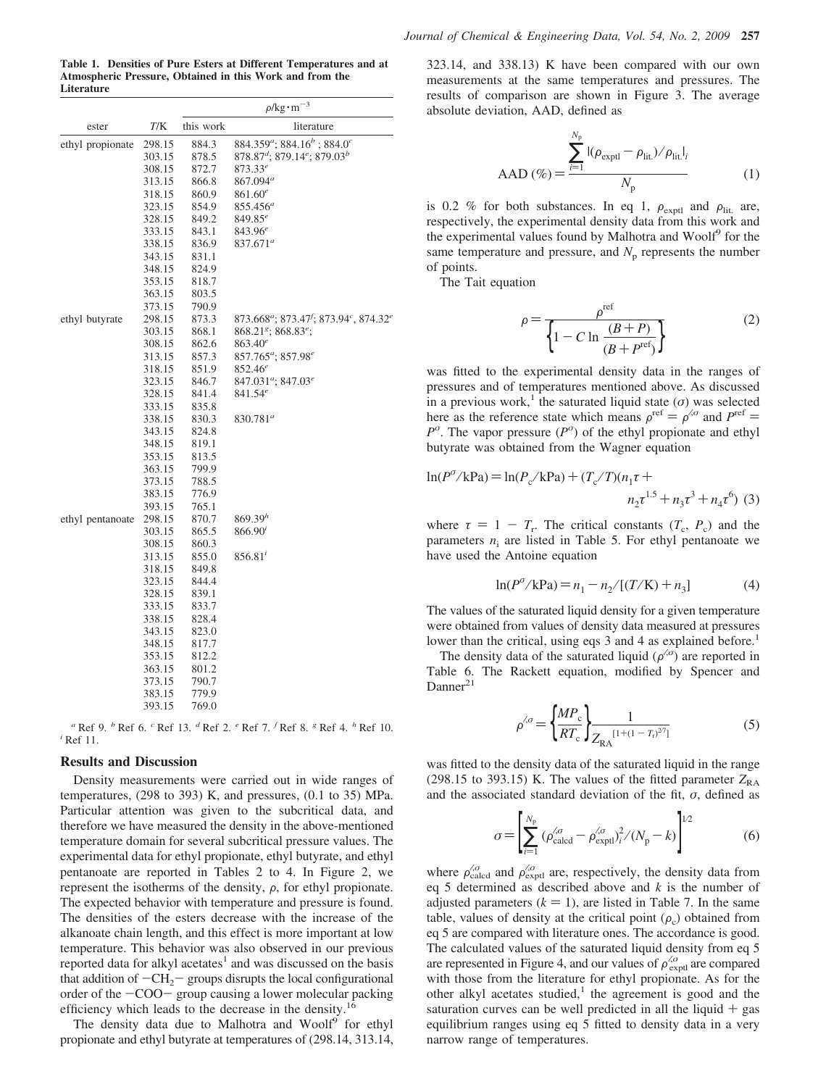**Table 1. Densities of Pure Esters at Different Temperatures and at Atmospheric Pressure, Obtained in this Work and from the Literature**

|                  |        |           | $\rho$ /kg·m <sup>-3</sup>                                                             |
|------------------|--------|-----------|----------------------------------------------------------------------------------------|
| ester            | T/K    | this work | literature                                                                             |
| ethyl propionate | 298.15 | 884.3     | 884.359 <sup>a</sup> ; 884.16 <sup>b</sup> ; 884.0 <sup>c</sup>                        |
|                  | 303.15 | 878.5     | $878.87^{d}$ ; $879.14^{e}$ ; $879.03^{b}$                                             |
|                  | 308.15 | 872.7     | $873.33^{e}$                                                                           |
|                  | 313.15 | 866.8     | 867.094 <sup>a</sup>                                                                   |
|                  | 318.15 | 860.9     | $861.60^e$                                                                             |
|                  | 323.15 | 854.9     | $855.456^a$                                                                            |
|                  | 328.15 | 849.2     | $849.85^{e}$                                                                           |
|                  | 333.15 | 843.1     | $843.96^e$                                                                             |
|                  | 338.15 | 836.9     | $837.671^a$                                                                            |
|                  | 343.15 | 831.1     |                                                                                        |
|                  | 348.15 | 824.9     |                                                                                        |
|                  | 353.15 | 818.7     |                                                                                        |
|                  | 363.15 | 803.5     |                                                                                        |
|                  | 373.15 | 790.9     |                                                                                        |
| ethyl butyrate   | 298.15 | 873.3     | 873.668 <sup>a</sup> ; 873.47 <sup>f</sup> ; 873.94 <sup>c</sup> , 874.32 <sup>e</sup> |
|                  | 303.15 | 868.1     | 868.21 <sup>s</sup> ; 868.83 <sup>e</sup> ;                                            |
|                  | 308.15 | 862.6     | $863.40^e$                                                                             |
|                  | 313.15 | 857.3     | 857.765 <sup>a</sup> ; 857.98 <sup>e</sup>                                             |
|                  | 318.15 | 851.9     | $852.46^e$                                                                             |
|                  | 323.15 | 846.7     | 847.031 <sup>a</sup> ; 847.03 <sup>e</sup>                                             |
|                  | 328.15 | 841.4     | $841.54^{e}$                                                                           |
|                  | 333.15 | 835.8     |                                                                                        |
|                  | 338.15 | 830.3     | 830.781 <sup>a</sup>                                                                   |
|                  | 343.15 | 824.8     |                                                                                        |
|                  | 348.15 | 819.1     |                                                                                        |
|                  | 353.15 | 813.5     |                                                                                        |
|                  | 363.15 | 799.9     |                                                                                        |
|                  | 373.15 | 788.5     |                                                                                        |
|                  | 383.15 | 776.9     |                                                                                        |
|                  | 393.15 | 765.1     |                                                                                        |
| ethyl pentanoate | 298.15 | 870.7     | 869.39 <sup>h</sup>                                                                    |
|                  | 303.15 | 865.5     | $866.90^{i}$                                                                           |
|                  | 308.15 | 860.3     |                                                                                        |
|                  | 313.15 | 855.0     | $856.81^{i}$                                                                           |
|                  | 318.15 | 849.8     |                                                                                        |
|                  | 323.15 | 844.4     |                                                                                        |
|                  | 328.15 | 839.1     |                                                                                        |
|                  | 333.15 | 833.7     |                                                                                        |
|                  | 338.15 | 828.4     |                                                                                        |
|                  | 343.15 | 823.0     |                                                                                        |
|                  | 348.15 | 817.7     |                                                                                        |
|                  | 353.15 | 812.2     |                                                                                        |
|                  | 363.15 | 801.2     |                                                                                        |
|                  | 373.15 | 790.7     |                                                                                        |
|                  | 383.15 | 779.9     |                                                                                        |
|                  | 393.15 | 769.0     |                                                                                        |

*<sup>a</sup>* Ref 9. *<sup>b</sup>* Ref 6. *<sup>c</sup>* Ref 13. *<sup>d</sup>* Ref 2. *<sup>e</sup>* Ref 7. *<sup>f</sup>* Ref 8. *<sup>g</sup>* Ref 4. *<sup>h</sup>* Ref 10. *<sup>i</sup>* Ref 11.

### **Results and Discussion**

Density measurements were carried out in wide ranges of temperatures, (298 to 393) K, and pressures, (0.1 to 35) MPa. Particular attention was given to the subcritical data, and therefore we have measured the density in the above-mentioned temperature domain for several subcritical pressure values. The experimental data for ethyl propionate, ethyl butyrate, and ethyl pentanoate are reported in Tables 2 to 4. In Figure 2, we represent the isotherms of the density,  $\rho$ , for ethyl propionate. The expected behavior with temperature and pressure is found. The densities of the esters decrease with the increase of the alkanoate chain length, and this effect is more important at low temperature. This behavior was also observed in our previous reported data for alkyl acetates<sup>1</sup> and was discussed on the basis that addition of  $-CH_2$ - groups disrupts the local configurational order of the  $-COO-$  group causing a lower molecular packing efficiency which leads to the decrease in the density.<sup>1</sup>

The density data due to Malhotra and Woolf<sup>9</sup> for ethyl propionate and ethyl butyrate at temperatures of (298.14, 313.14,

323.14, and 338.13) K have been compared with our own measurements at the same temperatures and pressures. The results of comparison are shown in Figure 3. The average absolute deviation, AAD, defined as

$$
AAD (\%) = \frac{\sum_{i=1}^{N_p} |(\rho_{expt} - \rho_{\text{lit.}})/\rho_{\text{lit.}}|_i}{N_p}
$$
 (1)

is 0.2 % for both substances. In eq 1,  $\rho_{\text{exptl}}$  and  $\rho_{\text{lit.}}$  are, respectively, the experimental density data from this work and the experimental values found by Malhotra and Woolf<sup>9</sup> for the same temperature and pressure, and  $N<sub>p</sub>$  represents the number of points.

The Tait equation

$$
\rho = \frac{\rho^{\text{ref}}}{\left\{1 - C \ln \frac{(B+P)}{(B+P^{\text{ref}})}\right\}}\tag{2}
$$

was fitted to the experimental density data in the ranges of pressures and of temperatures mentioned above. As discussed in a previous work,<sup>1</sup> the saturated liquid state ( $\sigma$ ) was selected here as the reference state which means  $\rho^{\text{ref}} = \rho^{\text{G}}$  and  $P^{\text{ref}} =$  $P^{\sigma}$ . The vapor pressure ( $P^{\sigma}$ ) of the ethyl propionate and ethyl butyrate was obtained from the Wagner equation

$$
\ln(P^{\sigma}/\text{kPa}) = \ln(P_c/\text{kPa}) + (T_c/T)(n_1\tau + n_2\tau^{1.5} + n_3\tau^3 + n_4\tau^6)
$$
 (3)

where  $\tau = 1 - T_r$ . The critical constants  $(T_c, P_c)$  and the parameters  $n_i$  are listed in Table 5. For ethyl pentanoate we have used the Antoine equation

$$
\ln(P^{\sigma}/k\text{Pa}) = n_1 - n_2/[(T/K) + n_3]
$$
 (4)

The values of the saturated liquid density for a given temperature were obtained from values of density data measured at pressures lower than the critical, using eqs 3 and 4 as explained before.<sup>1</sup>

The density data of the saturated liquid  $(\rho^{\langle \sigma \rangle})$  are reported in Table 6. The Rackett equation, modified by Spencer and  $Danner<sup>21</sup>$ 

$$
\rho^{\lambda \sigma} = \left\{ \frac{MP_c}{RT_c} \right\} \frac{1}{Z_{RA}^{[1 + (1 - T_t)^{27}]}}
$$
(5)

was fitted to the density data of the saturated liquid in the range (298.15 to 393.15) K. The values of the fitted parameter  $Z_{RA}$ and the associated standard deviation of the fit,  $\sigma$ , defined as

$$
\sigma = \left[ \sum_{i=1}^{N_{\rm p}} (\rho_{\rm calcd}^{\prime \sigma} - \rho_{\rm exptl}^{\prime \sigma})_i^2 / (N_{\rm p} - k) \right]^{1/2}
$$
(6)

where  $\rho_{\text{calcd}}^{\text{QG}}$  and  $\rho_{\text{exptl}}^{\text{QG}}$  are, respectively, the density data from eq 5 determined as described above and *k* is the number of adjusted parameters  $(k = 1)$ , are listed in Table 7. In the same table, values of density at the critical point  $(\rho_c)$  obtained from eq 5 are compared with literature ones. The accordance is good. The calculated values of the saturated liquid density from eq 5 are represented in Figure 4, and our values of  $\rho_{\text{exptl}}^{\ell\sigma}$  are compared with those from the literature for ethyl propionate. As for the other alkyl acetates studied, $<sup>1</sup>$  the agreement is good and the</sup> saturation curves can be well predicted in all the liquid  $+$  gas equilibrium ranges using eq 5 fitted to density data in a very narrow range of temperatures.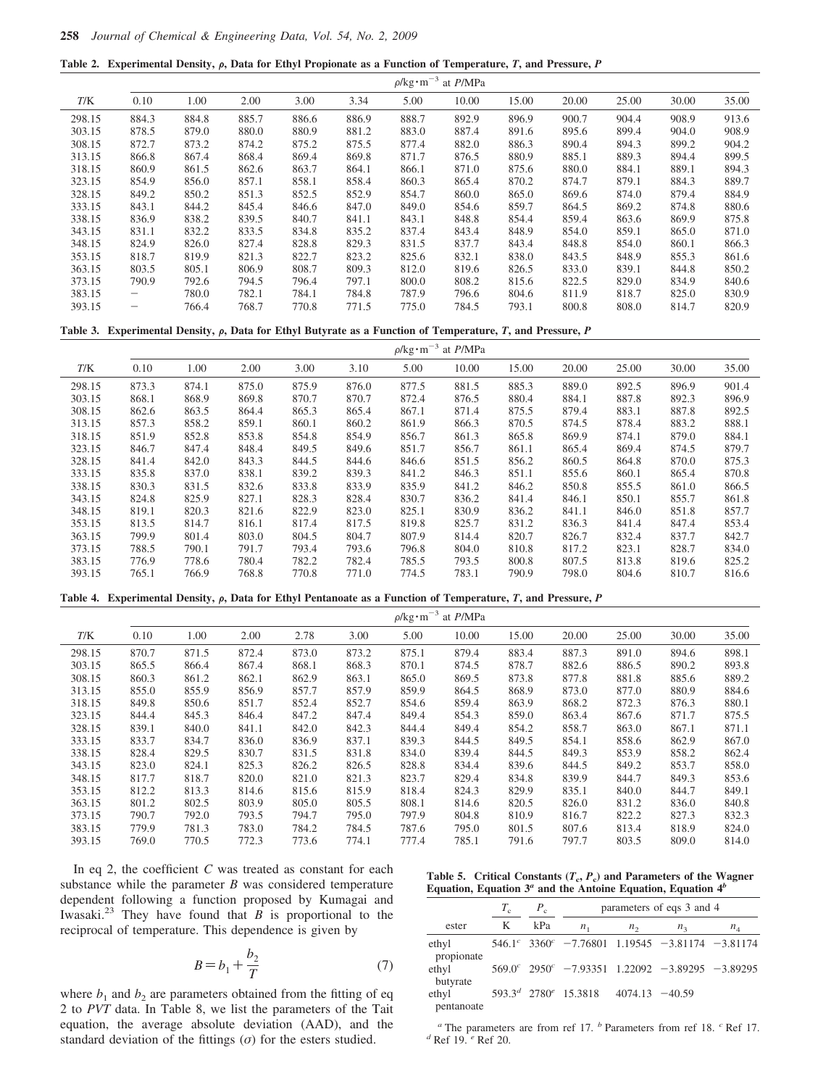|  |  |  |  |  | Table 2. Experimental Density, $\rho$ , Data for Ethyl Propionate as a Function of Temperature, T, and Pressure, P |
|--|--|--|--|--|--------------------------------------------------------------------------------------------------------------------|
|--|--|--|--|--|--------------------------------------------------------------------------------------------------------------------|

|        |       |       |       |       |       | $\rho$ /kg·m <sup>-3</sup> . | at P/MPa |       |       |       |       |       |
|--------|-------|-------|-------|-------|-------|------------------------------|----------|-------|-------|-------|-------|-------|
| T/K    | 0.10  | 1.00  | 2.00  | 3.00  | 3.34  | 5.00                         | 10.00    | 15.00 | 20.00 | 25.00 | 30.00 | 35.00 |
| 298.15 | 884.3 | 884.8 | 885.7 | 886.6 | 886.9 | 888.7                        | 892.9    | 896.9 | 900.7 | 904.4 | 908.9 | 913.6 |
| 303.15 | 878.5 | 879.0 | 880.0 | 880.9 | 881.2 | 883.0                        | 887.4    | 891.6 | 895.6 | 899.4 | 904.0 | 908.9 |
| 308.15 | 872.7 | 873.2 | 874.2 | 875.2 | 875.5 | 877.4                        | 882.0    | 886.3 | 890.4 | 894.3 | 899.2 | 904.2 |
| 313.15 | 866.8 | 867.4 | 868.4 | 869.4 | 869.8 | 871.7                        | 876.5    | 880.9 | 885.1 | 889.3 | 894.4 | 899.5 |
| 318.15 | 860.9 | 861.5 | 862.6 | 863.7 | 864.1 | 866.1                        | 871.0    | 875.6 | 880.0 | 884.1 | 889.1 | 894.3 |
| 323.15 | 854.9 | 856.0 | 857.1 | 858.1 | 858.4 | 860.3                        | 865.4    | 870.2 | 874.7 | 879.1 | 884.3 | 889.7 |
| 328.15 | 849.2 | 850.2 | 851.3 | 852.5 | 852.9 | 854.7                        | 860.0    | 865.0 | 869.6 | 874.0 | 879.4 | 884.9 |
| 333.15 | 843.1 | 844.2 | 845.4 | 846.6 | 847.0 | 849.0                        | 854.6    | 859.7 | 864.5 | 869.2 | 874.8 | 880.6 |
| 338.15 | 836.9 | 838.2 | 839.5 | 840.7 | 841.1 | 843.1                        | 848.8    | 854.4 | 859.4 | 863.6 | 869.9 | 875.8 |
| 343.15 | 831.1 | 832.2 | 833.5 | 834.8 | 835.2 | 837.4                        | 843.4    | 848.9 | 854.0 | 859.1 | 865.0 | 871.0 |
| 348.15 | 824.9 | 826.0 | 827.4 | 828.8 | 829.3 | 831.5                        | 837.7    | 843.4 | 848.8 | 854.0 | 860.1 | 866.3 |
| 353.15 | 818.7 | 819.9 | 821.3 | 822.7 | 823.2 | 825.6                        | 832.1    | 838.0 | 843.5 | 848.9 | 855.3 | 861.6 |
| 363.15 | 803.5 | 805.1 | 806.9 | 808.7 | 809.3 | 812.0                        | 819.6    | 826.5 | 833.0 | 839.1 | 844.8 | 850.2 |
| 373.15 | 790.9 | 792.6 | 794.5 | 796.4 | 797.1 | 800.0                        | 808.2    | 815.6 | 822.5 | 829.0 | 834.9 | 840.6 |
| 383.15 |       | 780.0 | 782.1 | 784.1 | 784.8 | 787.9                        | 796.6    | 804.6 | 811.9 | 818.7 | 825.0 | 830.9 |
| 393.15 |       | 766.4 | 768.7 | 770.8 | 771.5 | 775.0                        | 784.5    | 793.1 | 800.8 | 808.0 | 814.7 | 820.9 |

### Table 3. Experimental Density,  $\rho$ , Data for Ethyl Butyrate as a Function of Temperature, *T*, and Pressure, *P*

|        |       |       |       |       |       | $\rho$ /kg·m <sup>-3</sup> . | at P/MPa |       |       |       |       |       |
|--------|-------|-------|-------|-------|-------|------------------------------|----------|-------|-------|-------|-------|-------|
| T/K    | 0.10  | 1.00  | 2.00  | 3.00  | 3.10  | 5.00                         | 10.00    | 15.00 | 20.00 | 25.00 | 30.00 | 35.00 |
| 298.15 | 873.3 | 874.1 | 875.0 | 875.9 | 876.0 | 877.5                        | 881.5    | 885.3 | 889.0 | 892.5 | 896.9 | 901.4 |
| 303.15 | 868.1 | 868.9 | 869.8 | 870.7 | 870.7 | 872.4                        | 876.5    | 880.4 | 884.1 | 887.8 | 892.3 | 896.9 |
| 308.15 | 862.6 | 863.5 | 864.4 | 865.3 | 865.4 | 867.1                        | 871.4    | 875.5 | 879.4 | 883.1 | 887.8 | 892.5 |
| 313.15 | 857.3 | 858.2 | 859.1 | 860.1 | 860.2 | 861.9                        | 866.3    | 870.5 | 874.5 | 878.4 | 883.2 | 888.1 |
| 318.15 | 851.9 | 852.8 | 853.8 | 854.8 | 854.9 | 856.7                        | 861.3    | 865.8 | 869.9 | 874.1 | 879.0 | 884.1 |
| 323.15 | 846.7 | 847.4 | 848.4 | 849.5 | 849.6 | 851.7                        | 856.7    | 861.1 | 865.4 | 869.4 | 874.5 | 879.7 |
| 328.15 | 841.4 | 842.0 | 843.3 | 844.5 | 844.6 | 846.6                        | 851.5    | 856.2 | 860.5 | 864.8 | 870.0 | 875.3 |
| 333.15 | 835.8 | 837.0 | 838.1 | 839.2 | 839.3 | 841.2                        | 846.3    | 851.1 | 855.6 | 860.1 | 865.4 | 870.8 |
| 338.15 | 830.3 | 831.5 | 832.6 | 833.8 | 833.9 | 835.9                        | 841.2    | 846.2 | 850.8 | 855.5 | 861.0 | 866.5 |
| 343.15 | 824.8 | 825.9 | 827.1 | 828.3 | 828.4 | 830.7                        | 836.2    | 841.4 | 846.1 | 850.1 | 855.7 | 861.8 |
| 348.15 | 819.1 | 820.3 | 821.6 | 822.9 | 823.0 | 825.1                        | 830.9    | 836.2 | 841.1 | 846.0 | 851.8 | 857.7 |
| 353.15 | 813.5 | 814.7 | 816.1 | 817.4 | 817.5 | 819.8                        | 825.7    | 831.2 | 836.3 | 841.4 | 847.4 | 853.4 |
| 363.15 | 799.9 | 801.4 | 803.0 | 804.5 | 804.7 | 807.9                        | 814.4    | 820.7 | 826.7 | 832.4 | 837.7 | 842.7 |
| 373.15 | 788.5 | 790.1 | 791.7 | 793.4 | 793.6 | 796.8                        | 804.0    | 810.8 | 817.2 | 823.1 | 828.7 | 834.0 |
| 383.15 | 776.9 | 778.6 | 780.4 | 782.2 | 782.4 | 785.5                        | 793.5    | 800.8 | 807.5 | 813.8 | 819.6 | 825.2 |
| 393.15 | 765.1 | 766.9 | 768.8 | 770.8 | 771.0 | 774.5                        | 783.1    | 790.9 | 798.0 | 804.6 | 810.7 | 816.6 |

Table 4. Experimental Density,  $\rho$ , Data for Ethyl Pentanoate as a Function of Temperature,  $T$ , and Pressure,  $P$ 

|        |       |       |       |       |       |       | $\rho$ /kg·m <sup>-3</sup> at <i>P</i> /MPa |       |       |       |       |       |
|--------|-------|-------|-------|-------|-------|-------|---------------------------------------------|-------|-------|-------|-------|-------|
| T/K    | 0.10  | 1.00  | 2.00  | 2.78  | 3.00  | 5.00  | 10.00                                       | 15.00 | 20.00 | 25.00 | 30.00 | 35.00 |
| 298.15 | 870.7 | 871.5 | 872.4 | 873.0 | 873.2 | 875.1 | 879.4                                       | 883.4 | 887.3 | 891.0 | 894.6 | 898.1 |
| 303.15 | 865.5 | 866.4 | 867.4 | 868.1 | 868.3 | 870.1 | 874.5                                       | 878.7 | 882.6 | 886.5 | 890.2 | 893.8 |
| 308.15 | 860.3 | 861.2 | 862.1 | 862.9 | 863.1 | 865.0 | 869.5                                       | 873.8 | 877.8 | 881.8 | 885.6 | 889.2 |
| 313.15 | 855.0 | 855.9 | 856.9 | 857.7 | 857.9 | 859.9 | 864.5                                       | 868.9 | 873.0 | 877.0 | 880.9 | 884.6 |
| 318.15 | 849.8 | 850.6 | 851.7 | 852.4 | 852.7 | 854.6 | 859.4                                       | 863.9 | 868.2 | 872.3 | 876.3 | 880.1 |
| 323.15 | 844.4 | 845.3 | 846.4 | 847.2 | 847.4 | 849.4 | 854.3                                       | 859.0 | 863.4 | 867.6 | 871.7 | 875.5 |
| 328.15 | 839.1 | 840.0 | 841.1 | 842.0 | 842.3 | 844.4 | 849.4                                       | 854.2 | 858.7 | 863.0 | 867.1 | 871.1 |
| 333.15 | 833.7 | 834.7 | 836.0 | 836.9 | 837.1 | 839.3 | 844.5                                       | 849.5 | 854.1 | 858.6 | 862.9 | 867.0 |
| 338.15 | 828.4 | 829.5 | 830.7 | 831.5 | 831.8 | 834.0 | 839.4                                       | 844.5 | 849.3 | 853.9 | 858.2 | 862.4 |
| 343.15 | 823.0 | 824.1 | 825.3 | 826.2 | 826.5 | 828.8 | 834.4                                       | 839.6 | 844.5 | 849.2 | 853.7 | 858.0 |
| 348.15 | 817.7 | 818.7 | 820.0 | 821.0 | 821.3 | 823.7 | 829.4                                       | 834.8 | 839.9 | 844.7 | 849.3 | 853.6 |
| 353.15 | 812.2 | 813.3 | 814.6 | 815.6 | 815.9 | 818.4 | 824.3                                       | 829.9 | 835.1 | 840.0 | 844.7 | 849.1 |
| 363.15 | 801.2 | 802.5 | 803.9 | 805.0 | 805.5 | 808.1 | 814.6                                       | 820.5 | 826.0 | 831.2 | 836.0 | 840.8 |
| 373.15 | 790.7 | 792.0 | 793.5 | 794.7 | 795.0 | 797.9 | 804.8                                       | 810.9 | 816.7 | 822.2 | 827.3 | 832.3 |
| 383.15 | 779.9 | 781.3 | 783.0 | 784.2 | 784.5 | 787.6 | 795.0                                       | 801.5 | 807.6 | 813.4 | 818.9 | 824.0 |
| 393.15 | 769.0 | 770.5 | 772.3 | 773.6 | 774.1 | 777.4 | 785.1                                       | 791.6 | 797.7 | 803.5 | 809.0 | 814.0 |

In eq 2, the coefficient *C* was treated as constant for each substance while the parameter *B* was considered temperature dependent following a function proposed by Kumagai and Iwasaki.<sup>23</sup> They have found that  $\overline{B}$  is proportional to the reciprocal of temperature. This dependence is given by

$$
B = b_1 + \frac{b_2}{T} \tag{7}
$$

where  $b_1$  and  $b_2$  are parameters obtained from the fitting of eq 2 to *PVT* data. In Table 8, we list the parameters of the Tait equation, the average absolute deviation (AAD), and the standard deviation of the fittings  $(\sigma)$  for the esters studied.

Table 5. Critical Constants  $(T_c, P_c)$  and Parameters of the Wagner Equation, Equation  $3^a$  and the Antoine Equation, Equation  $4^b$ 

|                     | $T_{\rm c}$ | $P_c$ | parameters of eqs 3 and 4                                                             |                   |             |       |  |  |  |
|---------------------|-------------|-------|---------------------------------------------------------------------------------------|-------------------|-------------|-------|--|--|--|
| ester               | K           | kPa   | $n_{1}$                                                                               | $n_{2}$           | $n_{\rm a}$ | $n_4$ |  |  |  |
| ethyl<br>propionate |             |       | $546.1^{\circ}$ 3360 <sup><math>\circ</math></sup> -7.76801 1.19545 -3.81174 -3.81174 |                   |             |       |  |  |  |
| ethyl<br>butyrate   |             |       | $569.0^{\circ}$ $2950^{\circ}$ $-7.93351$ $1.22092$ $-3.89295$ $-3.89295$             |                   |             |       |  |  |  |
| ethyl<br>pentanoate |             |       | $593.3d$ 2780 <sup>e</sup> 15.3818                                                    | $4074.13 - 40.59$ |             |       |  |  |  |

*<sup>a</sup>* The parameters are from ref 17. *<sup>b</sup>* Parameters from ref 18. *<sup>c</sup>* Ref 17. *<sup>d</sup>* Ref 19. *<sup>e</sup>* Ref 20.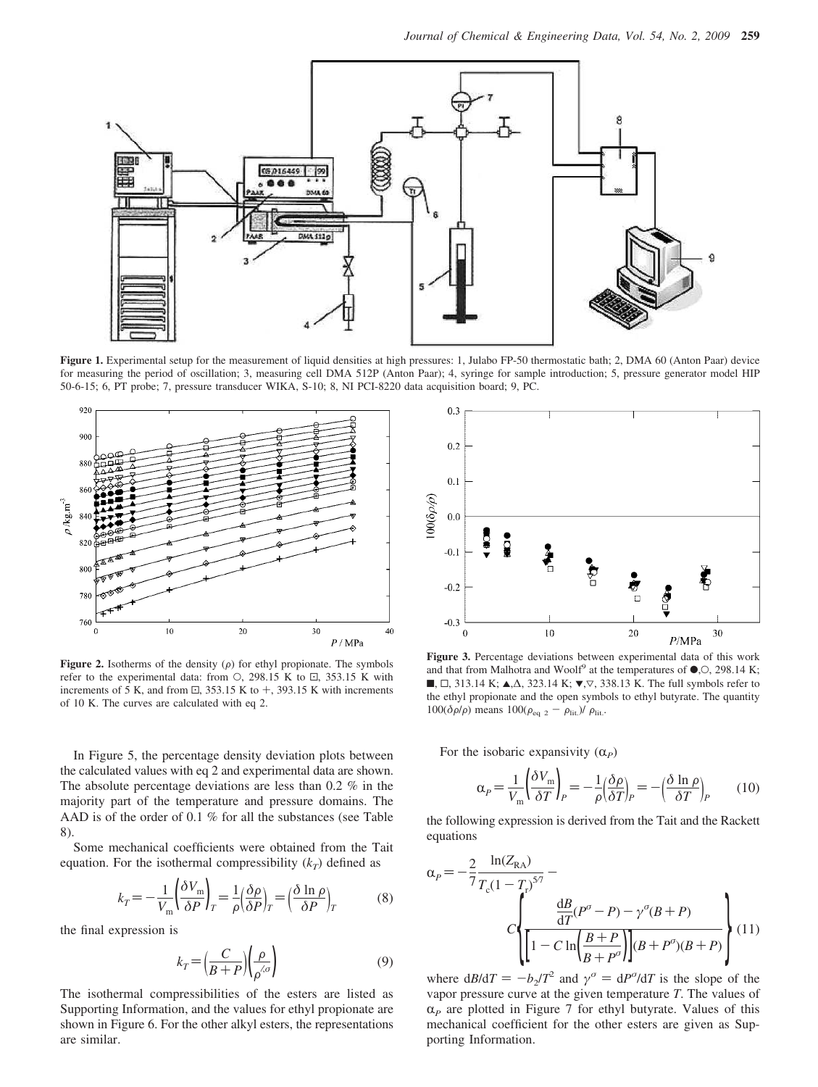

**Figure 1.** Experimental setup for the measurement of liquid densities at high pressures: 1, Julabo FP-50 thermostatic bath; 2, DMA 60 (Anton Paar) device for measuring the period of oscillation; 3, measuring cell DMA 512P (Anton Paar); 4, syringe for sample introduction; 5, pressure generator model HIP 50-6-15; 6, PT probe; 7, pressure transducer WIKA, S-10; 8, NI PCI-8220 data acquisition board; 9, PC.



**Figure 2.** Isotherms of the density  $(\rho)$  for ethyl propionate. The symbols refer to the experimental data: from  $\circ$ , 298.15 K to  $\Xi$ , 353.15 K with increments of 5 K, and from  $\Xi$ , 353.15 K to  $+$ , 393.15 K with increments of 10 K. The curves are calculated with eq 2.

In Figure 5, the percentage density deviation plots between the calculated values with eq 2 and experimental data are shown. The absolute percentage deviations are less than 0.2 % in the majority part of the temperature and pressure domains. The AAD is of the order of 0.1 % for all the substances (see Table 8).

Some mechanical coefficients were obtained from the Tait equation. For the isothermal compressibility  $(k_T)$  defined as

$$
k_T = -\frac{1}{V_m} \left( \frac{\delta V_m}{\delta P} \right)_T = \frac{1}{\rho} \left( \frac{\delta \rho}{\delta P} \right)_T = \left( \frac{\delta \ln \rho}{\delta P} \right)_T \tag{8}
$$

the final expression is

$$
k_T = \left(\frac{C}{B+P}\right)\left(\frac{\rho}{\rho^{\langle\sigma\rangle}}\right) \tag{9}
$$

The isothermal compressibilities of the esters are listed as Supporting Information, and the values for ethyl propionate are shown in Figure 6. For the other alkyl esters, the representations are similar.



**Figure 3.** Percentage deviations between experimental data of this work and that from Malhotra and Woolf<sup>9</sup> at the temperatures of  $\bullet$ , O, 298.14 K; ■,  $\Box$ , 313.14 K;  $\blacktriangle$ ,  $\triangle$ , 323.14 K;  $\nabla$ ,  $\nabla$ , 338.13 K. The full symbols refer to the ethyl propionate and the open symbols to ethyl butyrate. The quantity  $100(\delta \rho/\rho)$  means  $100(\rho_{eq\ 2} - \rho_{lit})/\rho_{lit}$ .

For the isobaric expansivity  $(\alpha_P)$ 

$$
\alpha_P = \frac{1}{V_m} \left( \frac{\delta V_m}{\delta T} \right)_P = -\frac{1}{\rho} \left( \frac{\delta \rho}{\delta T} \right)_P = -\left( \frac{\delta \ln \rho}{\delta T} \right)_P \tag{10}
$$

the following expression is derived from the Tait and the Rackett equations

$$
\alpha_{P} = -\frac{2}{7} \frac{\ln(Z_{\text{RA}})}{T_{\text{c}}(1 - T_{\text{r}})^{5/7}} - C \left\{ \frac{\frac{dB}{dT}(P^{\sigma} - P) - \gamma^{\sigma}(B + P)}{\left[1 - C \ln\left(\frac{B + P}{B + P^{\sigma}}\right)\right](B + P^{\sigma})(B + P)} \right\} (11)
$$

where  $dB/dT = -b_2/T^2$  and  $\gamma^{\sigma} = dP^{\sigma}/dT$  is the slope of the vapor pressure curve at the given temperature *T*. The values of  $\alpha_P$  are plotted in Figure 7 for ethyl butyrate. Values of this mechanical coefficient for the other esters are given as Supporting Information.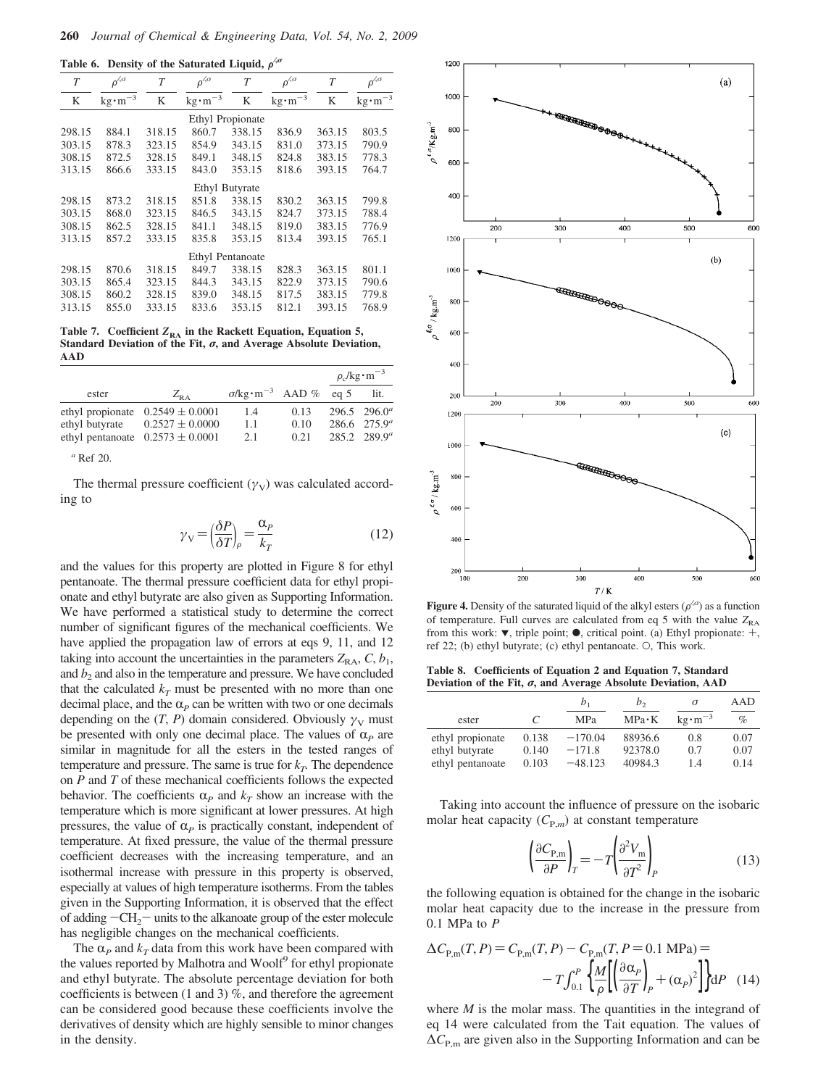**Table 6. Density of the Saturated Liquid,**  $ρ^{6}$ 

| $\rho^{\prime,\sigma}$ | T      | $\rho^{\prime,\sigma}$ | T      | $\rho^{\zeta\sigma}$                                          | T      | $\rho^{\!\scriptscriptstyle\langle O}$ |
|------------------------|--------|------------------------|--------|---------------------------------------------------------------|--------|----------------------------------------|
| $kg \cdot m^{-3}$      | K      | $kg \cdot m^{-3}$      | K      | $kg \cdot m^{-3}$                                             | K      | $\text{kg}\cdot \text{m}^{-3}$         |
|                        |        |                        |        |                                                               |        |                                        |
| 884.1                  | 318.15 | 860.7                  | 338.15 | 836.9                                                         | 363.15 | 803.5                                  |
| 878.3                  | 323.15 | 854.9                  | 343.15 | 831.0                                                         | 373.15 | 790.9                                  |
| 872.5                  | 328.15 | 849.1                  | 348.15 | 824.8                                                         | 383.15 | 778.3                                  |
| 866.6                  | 333.15 | 843.0                  | 353.15 | 818.6                                                         | 393.15 | 764.7                                  |
|                        |        |                        |        |                                                               |        |                                        |
| 873.2                  | 318.15 | 851.8                  | 338.15 | 830.2                                                         | 363.15 | 799.8                                  |
| 868.0                  | 323.15 | 846.5                  | 343.15 | 824.7                                                         | 373.15 | 788.4                                  |
| 862.5                  | 328.15 | 841.1                  | 348.15 | 819.0                                                         | 383.15 | 776.9                                  |
| 857.2                  | 333.15 | 835.8                  | 353.15 | 813.4                                                         | 393.15 | 765.1                                  |
|                        |        |                        |        |                                                               |        |                                        |
| 870.6                  | 318.15 | 849.7                  | 338.15 | 828.3                                                         | 363.15 | 801.1                                  |
| 865.4                  | 323.15 | 844.3                  | 343.15 | 822.9                                                         | 373.15 | 790.6                                  |
| 860.2                  | 328.15 | 839.0                  | 348.15 | 817.5                                                         | 383.15 | 779.8                                  |
| 855.0                  | 333.15 | 833.6                  | 353.15 | 812.1                                                         | 393.15 | 768.9                                  |
|                        |        |                        |        | Ethyl Propionate<br><b>Ethyl Butyrate</b><br>Ethyl Pentanoate |        |                                        |

Table 7. Coefficient  $Z_{RA}$  in the Rackett Equation, Equation 5, **Standard Deviation of the Fit,** σ**, and Average Absolute Deviation, AAD**

|                                    |                                                                                    |                                                 |                      | $\rho_c$ /kg·m <sup>-3</sup>                                |
|------------------------------------|------------------------------------------------------------------------------------|-------------------------------------------------|----------------------|-------------------------------------------------------------|
| ester                              | $Z_{R,A}$                                                                          | $\sigma/\text{kg}\cdot\text{m}^{-3}$ AAD % eq 5 |                      | lit.                                                        |
| ethyl propionate<br>ethyl butyrate | $0.2549 \pm 0.0001$<br>$0.2527 \pm 0.0000$<br>ethyl pentanoate $0.2573 \pm 0.0001$ | 1.4<br>1.1<br>2.1                               | 0.13<br>0.10<br>0.21 | $296.5$ $296.0^a$<br>$286.6$ $275.9^a$<br>$285.2$ $289.9^a$ |

*<sup>a</sup>* Ref 20.

The thermal pressure coefficient  $(\gamma_V)$  was calculated according to

$$
\gamma_{\rm V} = \left(\frac{\delta P}{\delta T}\right)_{\rho} = \frac{\alpha_{\rho}}{k_T} \tag{12}
$$

and the values for this property are plotted in Figure 8 for ethyl pentanoate. The thermal pressure coefficient data for ethyl propionate and ethyl butyrate are also given as Supporting Information. We have performed a statistical study to determine the correct number of significant figures of the mechanical coefficients. We have applied the propagation law of errors at eqs 9, 11, and 12 taking into account the uncertainties in the parameters  $Z_{\text{RA}}$ ,  $C$ ,  $b_1$ , and  $b_2$  and also in the temperature and pressure. We have concluded that the calculated  $k_T$  must be presented with no more than one decimal place, and the  $\alpha_P$  can be written with two or one decimals depending on the  $(T, P)$  domain considered. Obviously  $\gamma_V$  must be presented with only one decimal place. The values of  $\alpha_P$  are similar in magnitude for all the esters in the tested ranges of temperature and pressure. The same is true for  $k_T$ . The dependence on *P* and *T* of these mechanical coefficients follows the expected behavior. The coefficients  $\alpha_p$  and  $k_T$  show an increase with the temperature which is more significant at lower pressures. At high pressures, the value of  $\alpha_P$  is practically constant, independent of temperature. At fixed pressure, the value of the thermal pressure coefficient decreases with the increasing temperature, and an isothermal increase with pressure in this property is observed, especially at values of high temperature isotherms. From the tables given in the Supporting Information, it is observed that the effect of adding  $-CH_2$  units to the alkanoate group of the ester molecule has negligible changes on the mechanical coefficients.

The  $\alpha_P$  and  $k_T$  data from this work have been compared with the values reported by Malhotra and Woolf<sup>9</sup> for ethyl propionate and ethyl butyrate. The absolute percentage deviation for both coefficients is between (1 and 3) %, and therefore the agreement can be considered good because these coefficients involve the derivatives of density which are highly sensible to minor changes in the density.



**Figure 4.** Density of the saturated liquid of the alkyl esters  $(\rho^{\langle \sigma \rangle})$  as a function of temperature. Full curves are calculated from eq 5 with the value  $Z_{RA}$ from this work:  $\nabla$ , triple point;  $\odot$ , critical point. (a) Ethyl propionate:  $+$ , ref 22; (b) ethyl butyrate; (c) ethyl pentanoate. O, This work.

**Table 8. Coefficients of Equation 2 and Equation 7, Standard Deviation of the Fit,** σ**, and Average Absolute Deviation, AAD**

|                  |       | $b_1$      | b,            | σ                             | AAD  |
|------------------|-------|------------|---------------|-------------------------------|------|
| ester            |       | <b>MPa</b> | $MPa \cdot K$ | $k\text{e}\cdot\text{m}^{-3}$ | %    |
| ethyl propionate | 0.138 | $-170.04$  | 88936.6       | 0.8                           | 0.07 |
| ethyl butyrate   | 0.140 | $-171.8$   | 92378.0       | 0.7                           | 0.07 |
| ethyl pentanoate | 0.103 | $-48.123$  | 40984.3       | 14                            | 0.14 |

Taking into account the influence of pressure on the isobaric molar heat capacity  $(C_{P,m})$  at constant temperature

$$
\left(\frac{\partial C_{\mathbf{P},\mathbf{m}}}{\partial P}\right)_T = -T \left(\frac{\partial^2 V_{\mathbf{m}}}{\partial T^2}\right)_P\tag{13}
$$

the following equation is obtained for the change in the isobaric molar heat capacity due to the increase in the pressure from 0.1 MPa to *P*

$$
\Delta C_{P,m}(T, P) = C_{P,m}(T, P) - C_{P,m}(T, P = 0.1 \text{ MPa}) =
$$

$$
-T \int_{0.1}^{P} \left\{ \frac{M}{\rho} \left[ \left( \frac{\partial \alpha_p}{\partial T} \right)_P + (\alpha_p)^2 \right] \right\} dP \quad (14)
$$

where *M* is the molar mass. The quantities in the integrand of eq 14 were calculated from the Tait equation. The values of  $\Delta C_{\text{P,m}}$  are given also in the Supporting Information and can be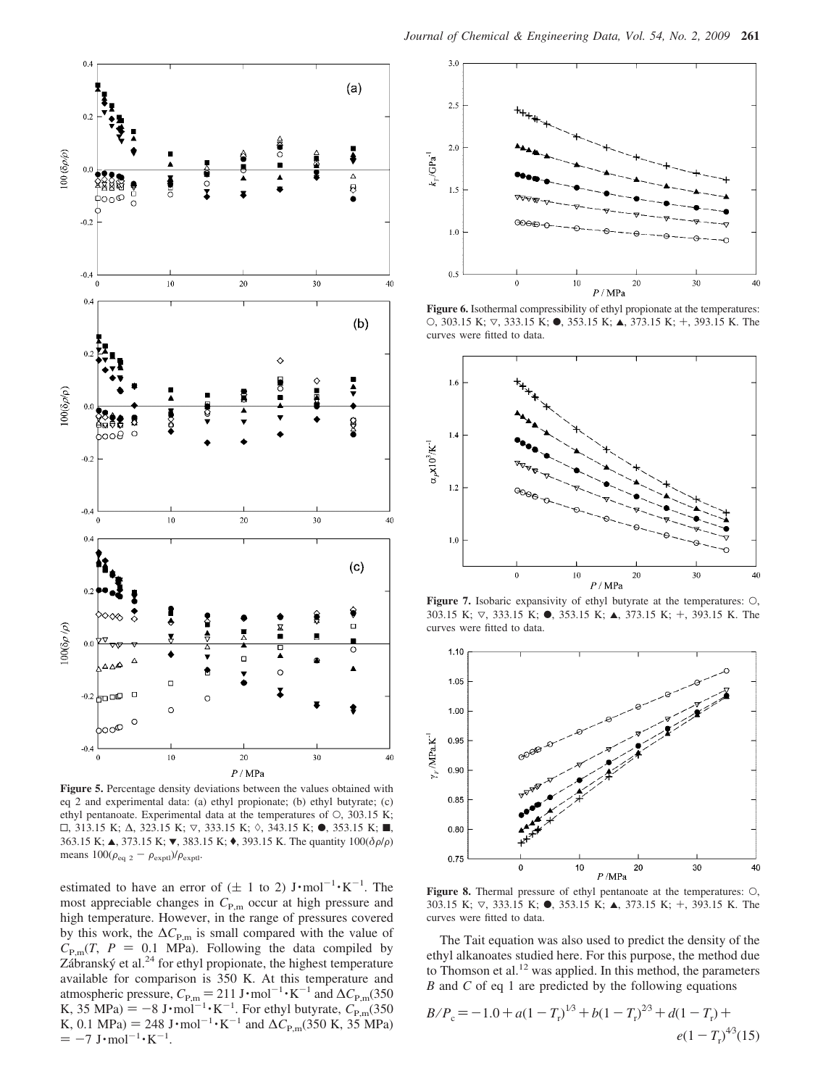

**Figure 5.** Percentage density deviations between the values obtained with eq 2 and experimental data: (a) ethyl propionate; (b) ethyl butyrate; (c) ethyl pentanoate. Experimental data at the temperatures of O, 303.15 K;  $\Box$ , 313.15 K;  $\Delta$ , 323.15 K;  $\triangledown$ , 333.15 K;  $\diamond$ , 343.15 K;  $\bullet$ , 353.15 K; ■, 363.15 K; ▲, 373.15 K; ▼, 383.15 K; ♦, 393.15 K. The quantity  $100(\delta \rho/\rho)$ means  $100(\rho_{\text{eq 2}} - \rho_{\text{exptl}})/\rho_{\text{exptl}}$ .

estimated to have an error of  $(\pm 1$  to 2)  $J \cdot \text{mol}^{-1} \cdot \text{K}^{-1}$ . The most appreciable changes in  $C_{P,m}$  occur at high pressure and high temperature. However, in the range of pressures covered by this work, the  $\Delta C_{\text{P,m}}$  is small compared with the value of  $C_{P,m}(T, P = 0.1$  MPa). Following the data compiled by  $Zábranský et al.<sup>24</sup> for ethyl propionate, the highest temperature$ available for comparison is 350 K. At this temperature and atmospheric pressure,  $C_{P,m} = 211 \text{ J} \cdot \text{mol}^{-1} \cdot \text{K}^{-1}$  and  $\Delta C_{P,m}$  (350 K,  $35 \text{ MPa}$ ) = -8 J·mol<sup>-1</sup>·K<sup>-1</sup>. For ethyl butyrate,  $C_{P,m}(350)$ K, 0.1 MPa) = 248 J·mol<sup>-1</sup>·K<sup>-1</sup> and  $\Delta C_{P,m}$ (350 K, 35 MPa)  $= -7 \text{ J} \cdot \text{mol}^{-1} \cdot \text{K}^{-1}.$ 



**Figure 6.** Isothermal compressibility of ethyl propionate at the temperatures: O, 303.15 K;  $\nabla$ , 333.15 K;  $\bullet$ , 353.15 K;  $\blacktriangle$ , 373.15 K; +, 393.15 K. The curves were fitted to data.



**Figure 7.** Isobaric expansivity of ethyl butyrate at the temperatures: O, 303.15 K; 3, 333.15 K; b, 353.15 K; 2, 373.15 K; +, 393.15 K. The curves were fitted to data.



**Figure 8.** Thermal pressure of ethyl pentanoate at the temperatures: O, 303.15 K; 3, 333.15 K; b, 353.15 K; 2, 373.15 K; +, 393.15 K. The curves were fitted to data.

The Tait equation was also used to predict the density of the ethyl alkanoates studied here. For this purpose, the method due to Thomson et al.<sup>12</sup> was applied. In this method, the parameters *B* and *C* of eq 1 are predicted by the following equations

$$
B/P_c = -1.0 + a(1 - T_r)^{1/3} + b(1 - T_r)^{2/3} + d(1 - T_r) +
$$
  

$$
e(1 - T_r)^{4/3}(15)
$$